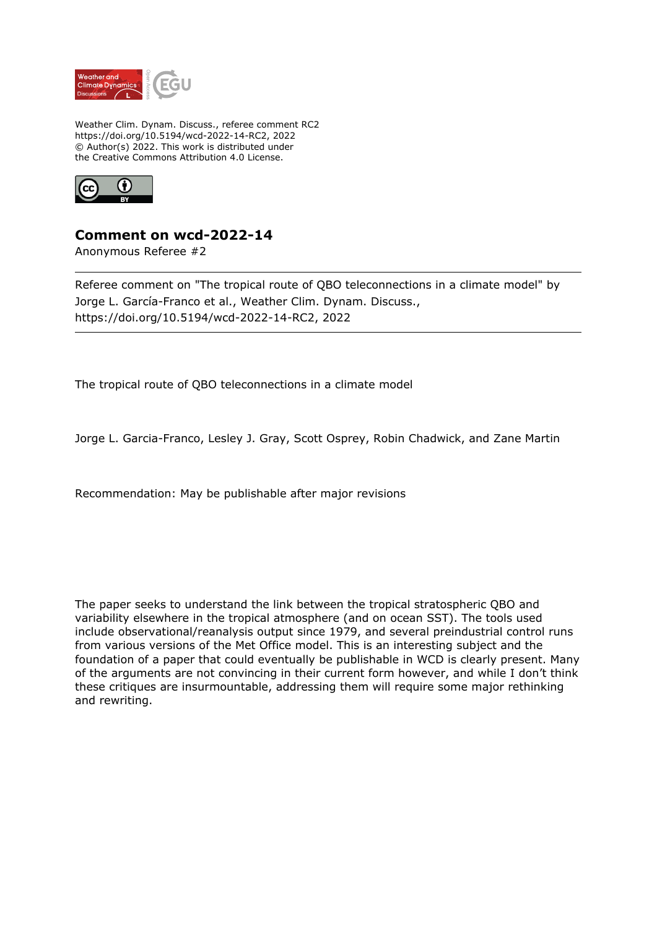

Weather Clim. Dynam. Discuss., referee comment RC2 https://doi.org/10.5194/wcd-2022-14-RC2, 2022 © Author(s) 2022. This work is distributed under the Creative Commons Attribution 4.0 License.



## **Comment on wcd-2022-14**

Anonymous Referee #2

Referee comment on "The tropical route of QBO teleconnections in a climate model" by Jorge L. García-Franco et al., Weather Clim. Dynam. Discuss., https://doi.org/10.5194/wcd-2022-14-RC2, 2022

The tropical route of QBO teleconnections in a climate model

Jorge L. Garcia-Franco, Lesley J. Gray, Scott Osprey, Robin Chadwick, and Zane Martin

Recommendation: May be publishable after major revisions

The paper seeks to understand the link between the tropical stratospheric QBO and variability elsewhere in the tropical atmosphere (and on ocean SST). The tools used include observational/reanalysis output since 1979, and several preindustrial control runs from various versions of the Met Office model. This is an interesting subject and the foundation of a paper that could eventually be publishable in WCD is clearly present. Many of the arguments are not convincing in their current form however, and while I don't think these critiques are insurmountable, addressing them will require some major rethinking and rewriting.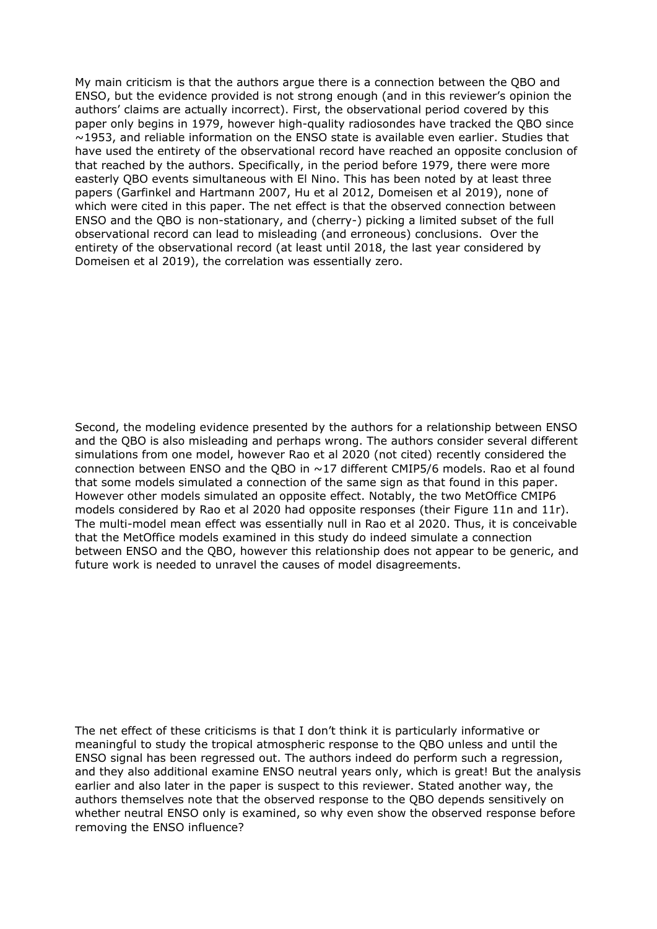My main criticism is that the authors argue there is a connection between the QBO and ENSO, but the evidence provided is not strong enough (and in this reviewer's opinion the authors' claims are actually incorrect). First, the observational period covered by this paper only begins in 1979, however high-quality radiosondes have tracked the QBO since ~1953, and reliable information on the ENSO state is available even earlier. Studies that have used the entirety of the observational record have reached an opposite conclusion of that reached by the authors. Specifically, in the period before 1979, there were more easterly QBO events simultaneous with El Nino. This has been noted by at least three papers (Garfinkel and Hartmann 2007, Hu et al 2012, Domeisen et al 2019), none of which were cited in this paper. The net effect is that the observed connection between ENSO and the QBO is non-stationary, and (cherry-) picking a limited subset of the full observational record can lead to misleading (and erroneous) conclusions. Over the entirety of the observational record (at least until 2018, the last year considered by Domeisen et al 2019), the correlation was essentially zero.

Second, the modeling evidence presented by the authors for a relationship between ENSO and the QBO is also misleading and perhaps wrong. The authors consider several different simulations from one model, however Rao et al 2020 (not cited) recently considered the connection between ENSO and the QBO in ~17 different CMIP5/6 models. Rao et al found that some models simulated a connection of the same sign as that found in this paper. However other models simulated an opposite effect. Notably, the two MetOffice CMIP6 models considered by Rao et al 2020 had opposite responses (their Figure 11n and 11r). The multi-model mean effect was essentially null in Rao et al 2020. Thus, it is conceivable that the MetOffice models examined in this study do indeed simulate a connection between ENSO and the QBO, however this relationship does not appear to be generic, and future work is needed to unravel the causes of model disagreements.

The net effect of these criticisms is that I don't think it is particularly informative or meaningful to study the tropical atmospheric response to the QBO unless and until the ENSO signal has been regressed out. The authors indeed do perform such a regression, and they also additional examine ENSO neutral years only, which is great! But the analysis earlier and also later in the paper is suspect to this reviewer. Stated another way, the authors themselves note that the observed response to the QBO depends sensitively on whether neutral ENSO only is examined, so why even show the observed response before removing the ENSO influence?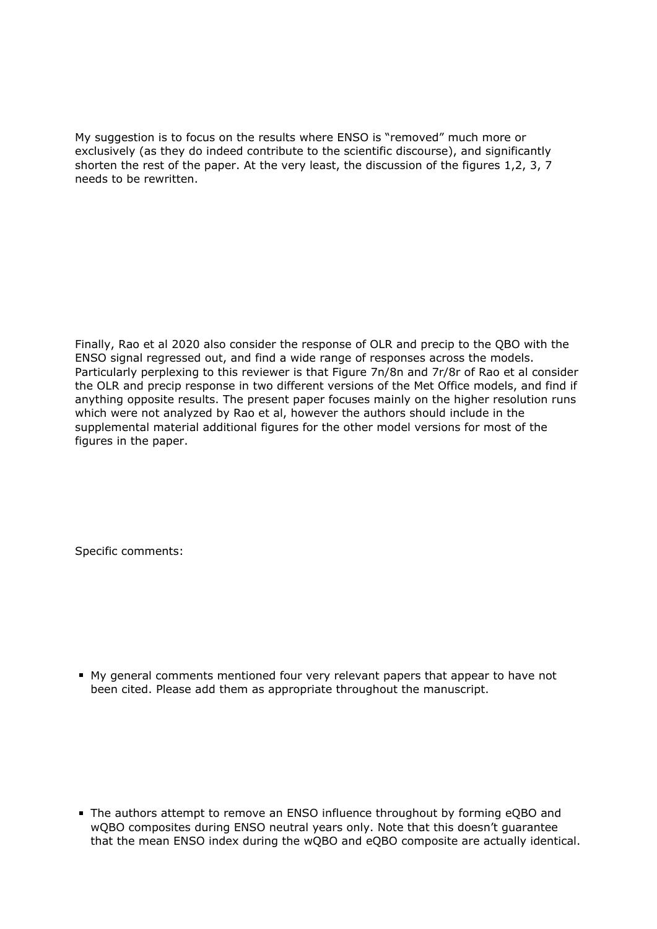My suggestion is to focus on the results where ENSO is "removed" much more or exclusively (as they do indeed contribute to the scientific discourse), and significantly shorten the rest of the paper. At the very least, the discussion of the figures 1,2, 3, 7 needs to be rewritten.

Finally, Rao et al 2020 also consider the response of OLR and precip to the QBO with the ENSO signal regressed out, and find a wide range of responses across the models. Particularly perplexing to this reviewer is that Figure 7n/8n and 7r/8r of Rao et al consider the OLR and precip response in two different versions of the Met Office models, and find if anything opposite results. The present paper focuses mainly on the higher resolution runs which were not analyzed by Rao et al, however the authors should include in the supplemental material additional figures for the other model versions for most of the figures in the paper.

Specific comments:

My general comments mentioned four very relevant papers that appear to have not been cited. Please add them as appropriate throughout the manuscript.

The authors attempt to remove an ENSO influence throughout by forming eQBO and wQBO composites during ENSO neutral years only. Note that this doesn't guarantee that the mean ENSO index during the wQBO and eQBO composite are actually identical.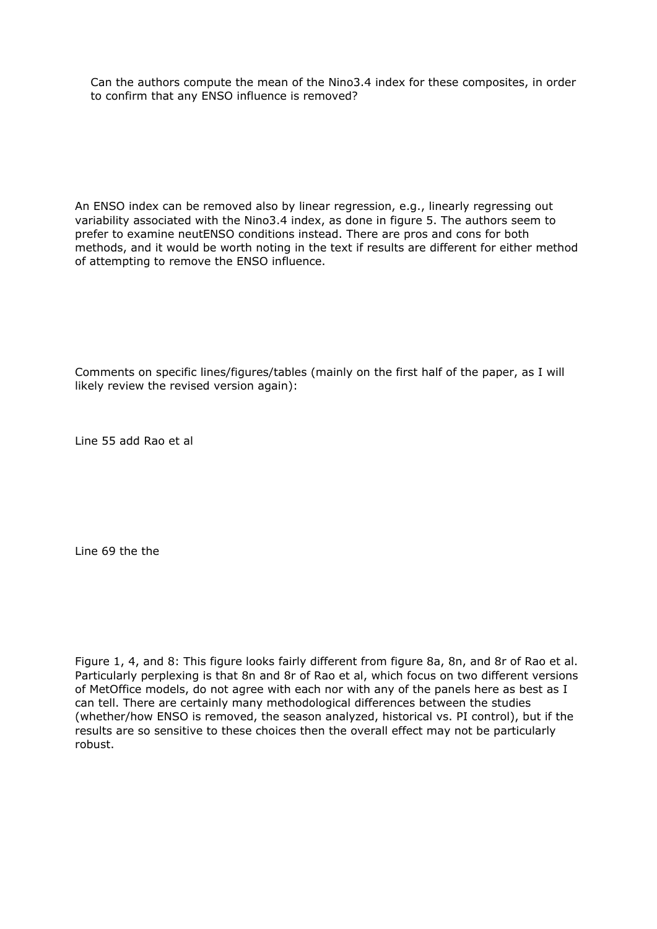Can the authors compute the mean of the Nino3.4 index for these composites, in order to confirm that any ENSO influence is removed?

An ENSO index can be removed also by linear regression, e.g., linearly regressing out variability associated with the Nino3.4 index, as done in figure 5. The authors seem to prefer to examine neutENSO conditions instead. There are pros and cons for both methods, and it would be worth noting in the text if results are different for either method of attempting to remove the ENSO influence.

Comments on specific lines/figures/tables (mainly on the first half of the paper, as I will likely review the revised version again):

Line 55 add Rao et al

Line 69 the the

Figure 1, 4, and 8: This figure looks fairly different from figure 8a, 8n, and 8r of Rao et al. Particularly perplexing is that 8n and 8r of Rao et al, which focus on two different versions of MetOffice models, do not agree with each nor with any of the panels here as best as I can tell. There are certainly many methodological differences between the studies (whether/how ENSO is removed, the season analyzed, historical vs. PI control), but if the results are so sensitive to these choices then the overall effect may not be particularly robust.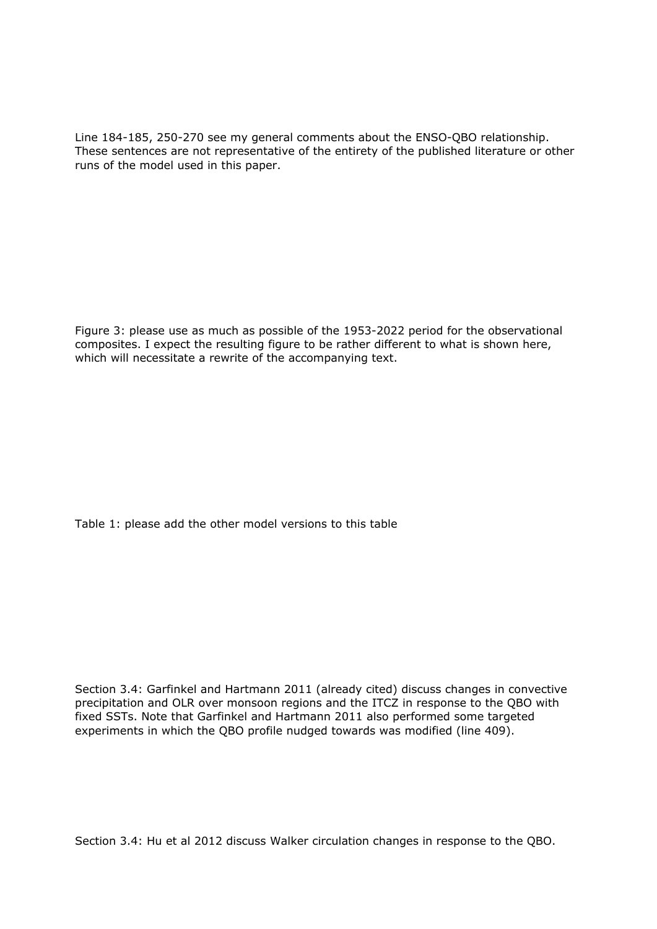Line 184-185, 250-270 see my general comments about the ENSO-QBO relationship. These sentences are not representative of the entirety of the published literature or other runs of the model used in this paper.

Figure 3: please use as much as possible of the 1953-2022 period for the observational composites. I expect the resulting figure to be rather different to what is shown here, which will necessitate a rewrite of the accompanying text.

Table 1: please add the other model versions to this table

Section 3.4: Garfinkel and Hartmann 2011 (already cited) discuss changes in convective precipitation and OLR over monsoon regions and the ITCZ in response to the QBO with fixed SSTs. Note that Garfinkel and Hartmann 2011 also performed some targeted experiments in which the QBO profile nudged towards was modified (line 409).

Section 3.4: Hu et al 2012 discuss Walker circulation changes in response to the QBO.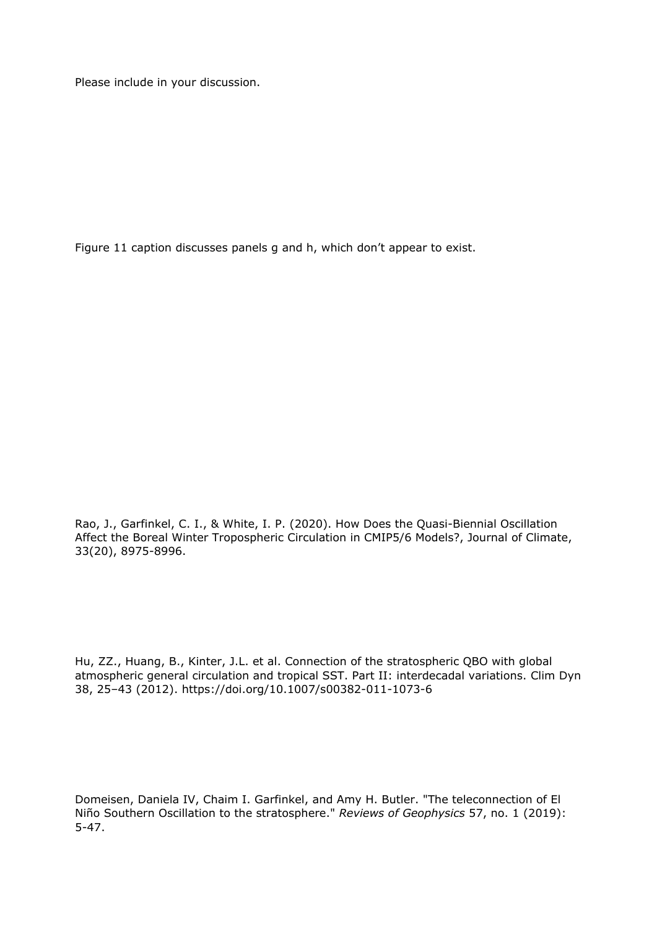Please include in your discussion.

Figure 11 caption discusses panels g and h, which don't appear to exist.

Rao, J., Garfinkel, C. I., & White, I. P. (2020). How Does the Quasi-Biennial Oscillation Affect the Boreal Winter Tropospheric Circulation in CMIP5/6 Models?, Journal of Climate, 33(20), 8975-8996.

Hu, ZZ., Huang, B., Kinter, J.L. et al. Connection of the stratospheric QBO with global atmospheric general circulation and tropical SST. Part II: interdecadal variations. Clim Dyn 38, 25–43 (2012). https://doi.org/10.1007/s00382-011-1073-6

Domeisen, Daniela IV, Chaim I. Garfinkel, and Amy H. Butler. "The teleconnection of El Niño Southern Oscillation to the stratosphere." *Reviews of Geophysics* 57, no. 1 (2019): 5-47.